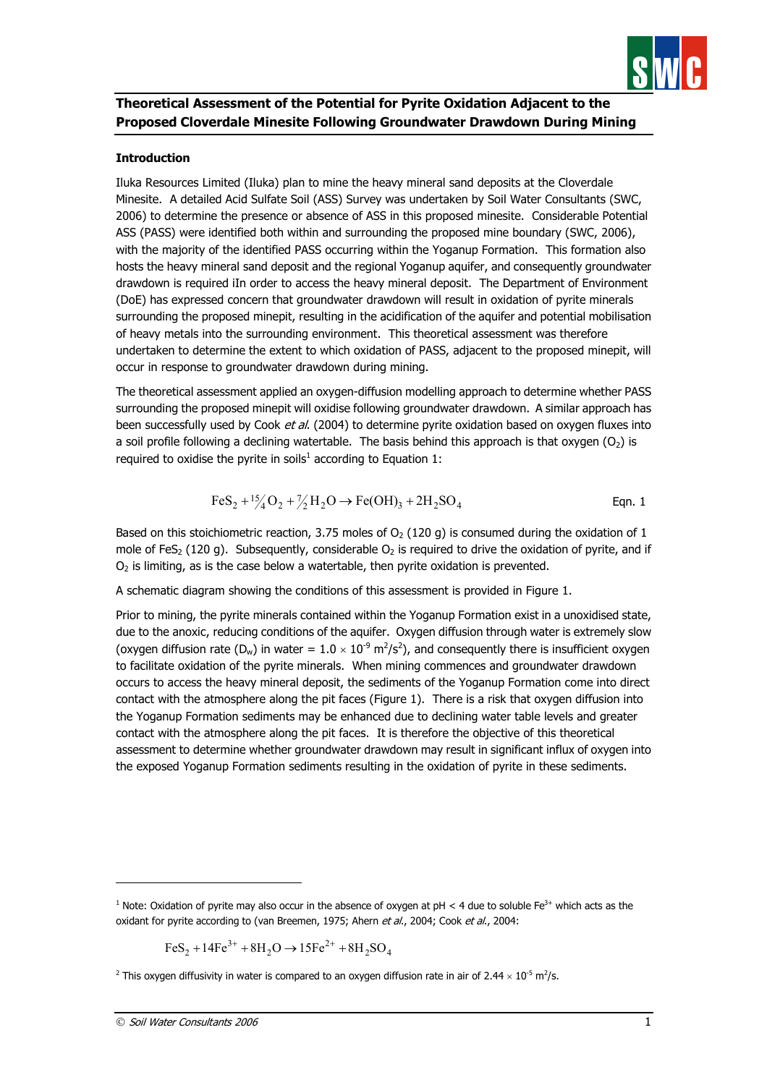

# **Theoretical Assessment of the Potential for Pyrite Oxidation Adjacent to the Proposed Cloverdale Minesite Following Groundwater Drawdown During Mining**

#### **Introduction**

Iluka Resources Limited (Iluka) plan to mine the heavy mineral sand deposits at the Cloverdale Minesite. A detailed Acid Sulfate Soil (ASS) Survey was undertaken by Soil Water Consultants (SWC, 2006) to determine the presence or absence of ASS in this proposed minesite. Considerable Potential ASS (PASS) were identified both within and surrounding the proposed mine boundary (SWC, 2006), with the majority of the identified PASS occurring within the Yoganup Formation. This formation also hosts the heavy mineral sand deposit and the regional Yoganup aquifer, and consequently groundwater drawdown is required iIn order to access the heavy mineral deposit. The Department of Environment (DoE) has expressed concern that groundwater drawdown will result in oxidation of pyrite minerals surrounding the proposed minepit, resulting in the acidification of the aquifer and potential mobilisation of heavy metals into the surrounding environment. This theoretical assessment was therefore undertaken to determine the extent to which oxidation of PASS, adjacent to the proposed minepit, will occur in response to groundwater drawdown during mining.

The theoretical assessment applied an oxygen-diffusion modelling approach to determine whether PASS surrounding the proposed minepit will oxidise following groundwater drawdown. A similar approach has been successfully used by Cook et al. (2004) to determine pyrite oxidation based on oxygen fluxes into a soil profile following a declining watertable. The basis behind this approach is that oxygen  $(O_2)$  is required to oxidise the pyrite in soils<sup>1</sup> according to Equation 1:

$$
FeS_2 + \frac{15}{4}O_2 + \frac{7}{2}H_2O \rightarrow Fe(OH)_3 + 2H_2SO_4
$$
 Eqn. 1

Based on this stoichiometric reaction, 3.75 moles of  $O<sub>2</sub>$  (120 g) is consumed during the oxidation of 1 mole of FeS<sub>2</sub> (120 g). Subsequently, considerable  $O<sub>2</sub>$  is required to drive the oxidation of pyrite, and if  $O<sub>2</sub>$  is limiting, as is the case below a watertable, then pyrite oxidation is prevented.

A schematic diagram showing the conditions of this assessment is provided in Figure 1.

Prior to mining, the pyrite minerals contained within the Yoganup Formation exist in a unoxidised state, due to the anoxic, reducing conditions of the aquifer. Oxygen diffusion through water is extremely slow (oxygen diffusion rate (D<sub>w</sub>) in water =  $1.0 \times 10^{-9}$  m<sup>2</sup>/s<sup>2</sup>), and consequently there is insufficient oxygen to facilitate oxidation of the pyrite minerals. When mining commences and groundwater drawdown occurs to access the heavy mineral deposit, the sediments of the Yoganup Formation come into direct contact with the atmosphere along the pit faces (Figure 1). There is a risk that oxygen diffusion into the Yoganup Formation sediments may be enhanced due to declining water table levels and greater contact with the atmosphere along the pit faces. It is therefore the objective of this theoretical assessment to determine whether groundwater drawdown may result in significant influx of oxygen into the exposed Yoganup Formation sediments resulting in the oxidation of pyrite in these sediments.

$$
FeS_2 + 14Fe^{3+} + 8H_2O \rightarrow 15Fe^{2+} + 8H_2SO_4
$$

j

<sup>&</sup>lt;sup>1</sup> Note: Oxidation of pyrite may also occur in the absence of oxygen at pH < 4 due to soluble Fe<sup>3+</sup> which acts as the oxidant for pyrite according to (van Breemen, 1975; Ahern et al., 2004; Cook et al., 2004:

<sup>&</sup>lt;sup>2</sup> This oxygen diffusivity in water is compared to an oxygen diffusion rate in air of 2.44  $\times$  10<sup>-5</sup> m<sup>2</sup>/s.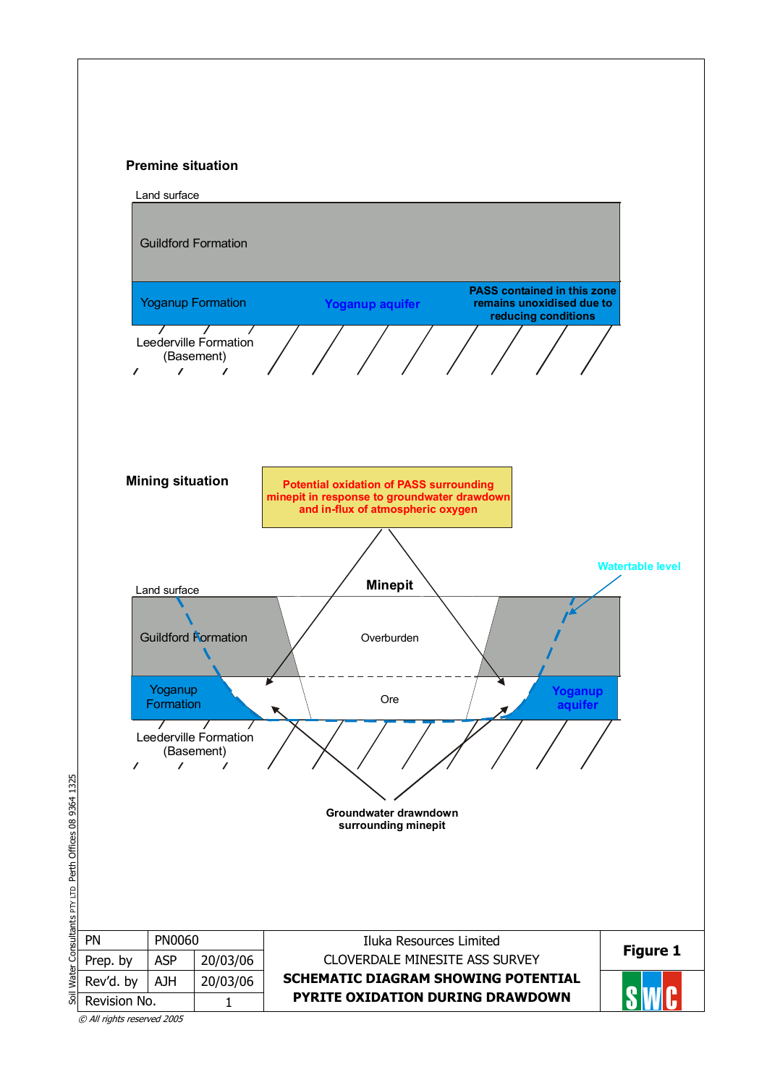



© All rights reserved 2005

Soil Water Consultants PTY LTD Perth Offices 08 9364 1325

Soil Water

Consultants PTY LTD Perth Offices 08 9364 1325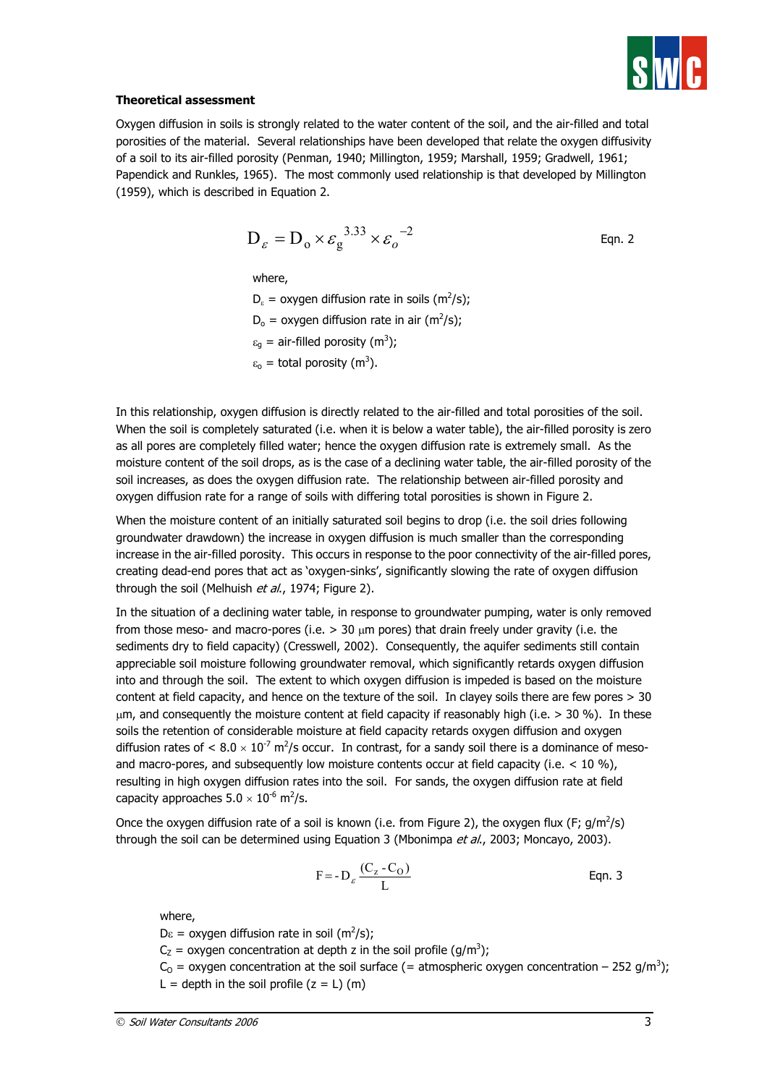

#### **Theoretical assessment**

Oxygen diffusion in soils is strongly related to the water content of the soil, and the air-filled and total porosities of the material. Several relationships have been developed that relate the oxygen diffusivity of a soil to its air-filled porosity (Penman, 1940; Millington, 1959; Marshall, 1959; Gradwell, 1961; Papendick and Runkles, 1965). The most commonly used relationship is that developed by Millington (1959), which is described in Equation 2.

$$
D_{\varepsilon} = D_0 \times \varepsilon_g^{3.33} \times \varepsilon_o^{-2}
$$
 Eqn. 2

where,

 $D_{\varepsilon}$  = oxygen diffusion rate in soils (m<sup>2</sup>/s);  $D_0 =$  oxygen diffusion rate in air (m<sup>2</sup>/s);  $\varepsilon_{\text{g}}$  = air-filled porosity (m<sup>3</sup>);  $\varepsilon_0$  = total porosity (m<sup>3</sup>).

In this relationship, oxygen diffusion is directly related to the air-filled and total porosities of the soil. When the soil is completely saturated (i.e. when it is below a water table), the air-filled porosity is zero as all pores are completely filled water; hence the oxygen diffusion rate is extremely small. As the moisture content of the soil drops, as is the case of a declining water table, the air-filled porosity of the soil increases, as does the oxygen diffusion rate. The relationship between air-filled porosity and oxygen diffusion rate for a range of soils with differing total porosities is shown in Figure 2.

When the moisture content of an initially saturated soil begins to drop (i.e. the soil dries following groundwater drawdown) the increase in oxygen diffusion is much smaller than the corresponding increase in the air-filled porosity. This occurs in response to the poor connectivity of the air-filled pores, creating dead-end pores that act as 'oxygen-sinks', significantly slowing the rate of oxygen diffusion through the soil (Melhuish et al., 1974; Figure 2).

In the situation of a declining water table, in response to groundwater pumping, water is only removed from those meso- and macro-pores (i.e.  $> 30$   $\mu$ m pores) that drain freely under gravity (i.e. the sediments dry to field capacity) (Cresswell, 2002). Consequently, the aquifer sediments still contain appreciable soil moisture following groundwater removal, which significantly retards oxygen diffusion into and through the soil. The extent to which oxygen diffusion is impeded is based on the moisture content at field capacity, and hence on the texture of the soil. In clayey soils there are few pores > 30  $µ$ m, and consequently the moisture content at field capacity if reasonably high (i.e.  $>$  30 %). In these soils the retention of considerable moisture at field capacity retards oxygen diffusion and oxygen diffusion rates of < 8.0  $\times$  10<sup>-7</sup> m<sup>2</sup>/s occur. In contrast, for a sandy soil there is a dominance of mesoand macro-pores, and subsequently low moisture contents occur at field capacity (i.e.  $<$  10 %), resulting in high oxygen diffusion rates into the soil. For sands, the oxygen diffusion rate at field capacity approaches  $5.0 \times 10^{-6}$  m<sup>2</sup>/s.

Once the oxygen diffusion rate of a soil is known (i.e. from Figure 2), the oxygen flux (F;  $g/m^2/s$ ) through the soil can be determined using Equation 3 (Mbonimpa et al., 2003; Moncayo, 2003).

$$
F = -D_{\varepsilon} \frac{(C_z - C_0)}{L}
$$
 Eqn. 3

where,

 $D\varepsilon$  = oxygen diffusion rate in soil (m<sup>2</sup>/s);

 $C_Z$  = oxygen concentration at depth z in the soil profile (g/m<sup>3</sup>);

 $C_0$  = oxygen concentration at the soil surface (= atmospheric oxygen concentration – 252 g/m<sup>3</sup>); L = depth in the soil profile  $(z = L)$  (m)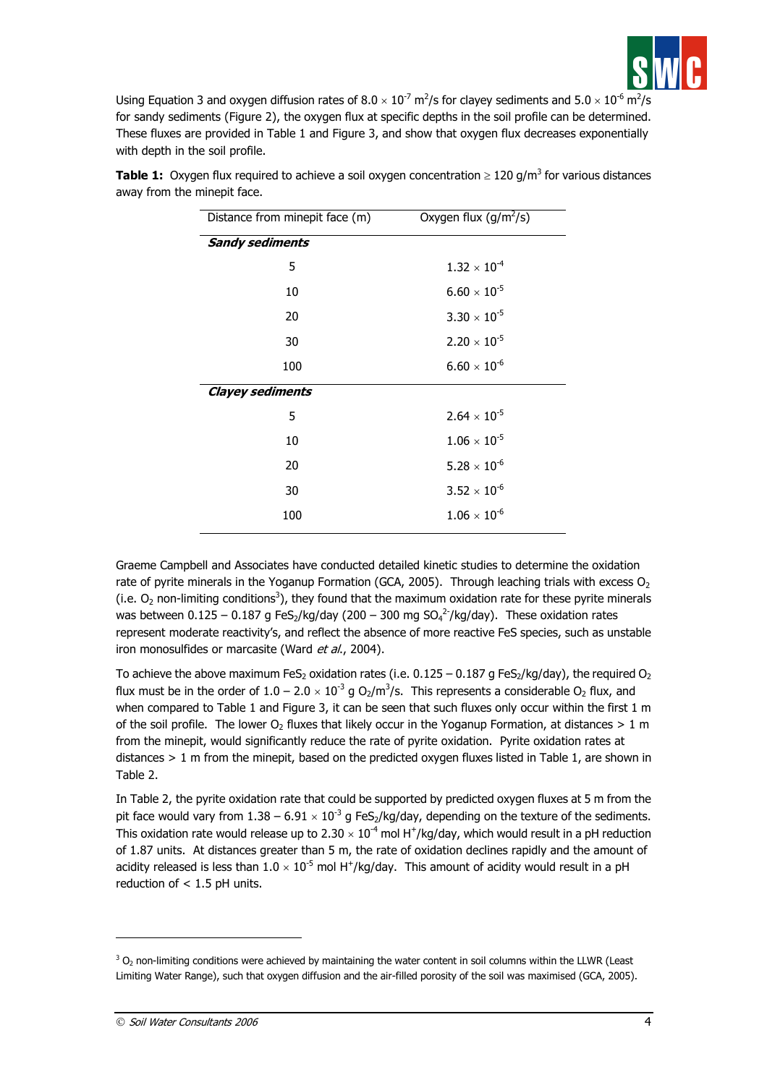

Using Equation 3 and oxygen diffusion rates of  $8.0 \times 10^{-7}$  m<sup>2</sup>/s for clayey sediments and  $5.0 \times 10^{-6}$  m<sup>2</sup>/s for sandy sediments (Figure 2), the oxygen flux at specific depths in the soil profile can be determined. These fluxes are provided in Table 1 and Figure 3, and show that oxygen flux decreases exponentially with depth in the soil profile.

| Distance from minepit face (m) | Oxygen flux $(g/m^2/s)$    |  |  |  |
|--------------------------------|----------------------------|--|--|--|
| <b>Sandy sediments</b>         |                            |  |  |  |
| 5                              | $1.32 \times 10^{-4}$      |  |  |  |
| 10                             | $6.60 \times 10^{-5}$      |  |  |  |
| 20                             | $3.30 \times 10^{-5}$      |  |  |  |
| 30                             | $2.20 \times 10^{-5}$      |  |  |  |
| 100                            | $6.60 \times 10^{-6}$      |  |  |  |
| <b>Clayey sediments</b>        |                            |  |  |  |
| 5                              | $2.64 \times 10^{-5}$      |  |  |  |
| 10                             | $1.06 \times 10^{-5}$      |  |  |  |
| 20                             | $5.28 \times 10^{-6}$      |  |  |  |
| 30                             | $3.52 \times 10^{-6}$      |  |  |  |
| 100                            | $1.06\times10^{\text{-}6}$ |  |  |  |
|                                |                            |  |  |  |

**Table 1:** Oxygen flux required to achieve a soil oxygen concentration  $\geq 120$  g/m<sup>3</sup> for various distances away from the minepit face.

Graeme Campbell and Associates have conducted detailed kinetic studies to determine the oxidation rate of pyrite minerals in the Yoganup Formation (GCA, 2005). Through leaching trials with excess  $O<sub>2</sub>$ (i.e.  $O_2$  non-limiting conditions<sup>3</sup>), they found that the maximum oxidation rate for these pyrite minerals was between 0.125 – 0.187 g FeS<sub>2</sub>/kg/day (200 – 300 mg SO<sub>4</sub><sup>2-</sup>/kg/day). These oxidation rates represent moderate reactivity's, and reflect the absence of more reactive FeS species, such as unstable iron monosulfides or marcasite (Ward et al., 2004).

To achieve the above maximum FeS<sub>2</sub> oxidation rates (i.e.  $0.125 - 0.187$  g FeS<sub>2</sub>/kg/day), the required O<sub>2</sub> flux must be in the order of  $1.0 - 2.0 \times 10^{-3}$  g O<sub>2</sub>/m<sup>3</sup>/s. This represents a considerable O<sub>2</sub> flux, and when compared to Table 1 and Figure 3, it can be seen that such fluxes only occur within the first 1 m of the soil profile. The lower  $O_2$  fluxes that likely occur in the Yoganup Formation, at distances  $> 1$  m from the minepit, would significantly reduce the rate of pyrite oxidation. Pyrite oxidation rates at distances > 1 m from the minepit, based on the predicted oxygen fluxes listed in Table 1, are shown in Table 2.

In Table 2, the pyrite oxidation rate that could be supported by predicted oxygen fluxes at 5 m from the pit face would vary from  $1.38 - 6.91 \times 10^{-3}$  g FeS<sub>2</sub>/kg/day, depending on the texture of the sediments. This oxidation rate would release up to 2.30  $\times$  10<sup>-4</sup> mol H<sup>+</sup>/kg/day, which would result in a pH reduction of 1.87 units. At distances greater than 5 m, the rate of oxidation declines rapidly and the amount of acidity released is less than  $1.0 \times 10^{-5}$  mol H<sup>+</sup>/kg/day. This amount of acidity would result in a pH reduction of < 1.5 pH units.

j

 $^3$  O<sub>2</sub> non-limiting conditions were achieved by maintaining the water content in soil columns within the LLWR (Least Limiting Water Range), such that oxygen diffusion and the air-filled porosity of the soil was maximised (GCA, 2005).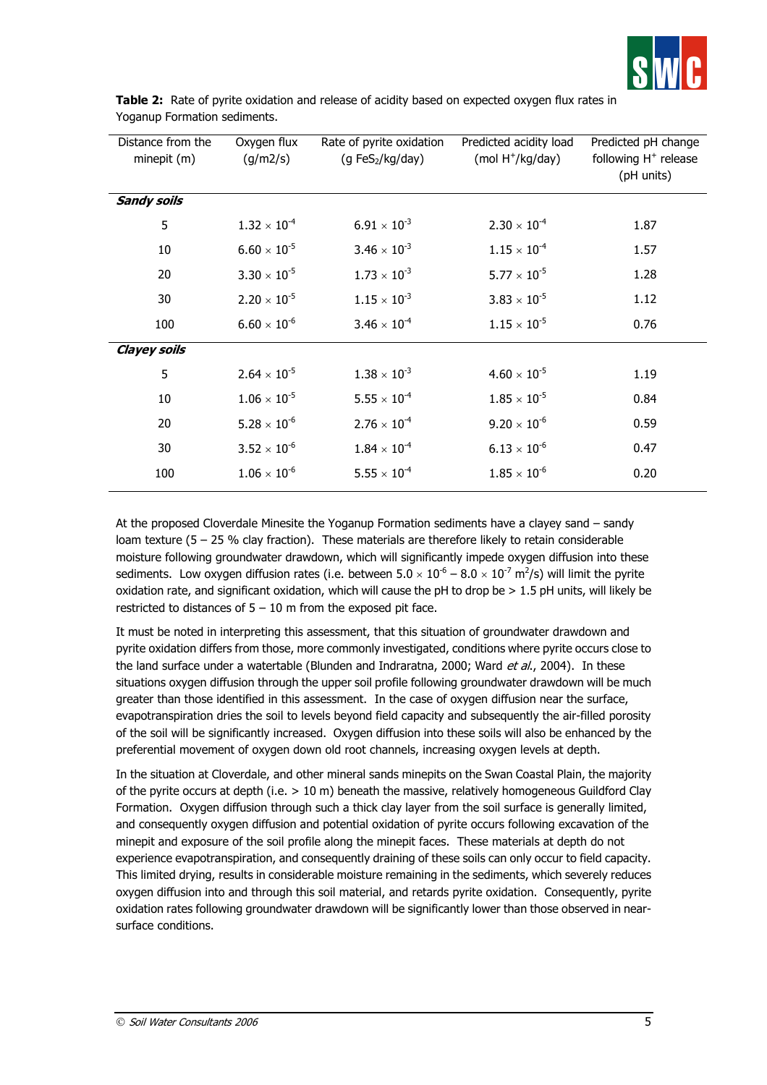

| Distance from the<br>minepit (m) | Oxygen flux<br>(g/m2/s) | Rate of pyrite oxidation<br>(g FeS <sub>2</sub> /kg/day) | Predicted acidity load<br>$(mod H+/kg/day)$ | Predicted pH change<br>following H <sup>+</sup> release<br>(pH units) |
|----------------------------------|-------------------------|----------------------------------------------------------|---------------------------------------------|-----------------------------------------------------------------------|
| <b>Sandy soils</b>               |                         |                                                          |                                             |                                                                       |
| 5                                | $1.32 \times 10^{-4}$   | $6.91 \times 10^{-3}$                                    | $2.30 \times 10^{-4}$                       | 1.87                                                                  |
| 10                               | $6.60 \times 10^{-5}$   | $3.46 \times 10^{-3}$                                    | $1.15 \times 10^{-4}$                       | 1.57                                                                  |
| 20                               | $3.30 \times 10^{-5}$   | $1.73 \times 10^{-3}$                                    | $5.77 \times 10^{-5}$                       | 1.28                                                                  |
| 30                               | $2.20 \times 10^{-5}$   | $1.15 \times 10^{3}$                                     | $3.83 \times 10^{-5}$                       | 1.12                                                                  |
| 100                              | $6.60 \times 10^{-6}$   | $3.46 \times 10^{-4}$                                    | $1.15 \times 10^{-5}$                       | 0.76                                                                  |
| <b>Clayey soils</b>              |                         |                                                          |                                             |                                                                       |
| 5                                | $2.64 \times 10^{-5}$   | $1.38 \times 10^{-3}$                                    | $4.60 \times 10^{-5}$                       | 1.19                                                                  |
| 10                               | $1.06 \times 10^{-5}$   | $5.55 \times 10^{-4}$                                    | $1.85 \times 10^{-5}$                       | 0.84                                                                  |
| 20                               | $5.28 \times 10^{-6}$   | $2.76 \times 10^{-4}$                                    | $9.20 \times 10^{-6}$                       | 0.59                                                                  |
| 30                               | $3.52 \times 10^{-6}$   | $1.84 \times 10^{-4}$                                    | $6.13\times10^{\text{-}6}$                  | 0.47                                                                  |
| 100                              | $1.06 \times 10^{-6}$   | $5.55 \times 10^{-4}$                                    | $1.85 \times 10^{-6}$                       | 0.20                                                                  |

**Table 2:** Rate of pyrite oxidation and release of acidity based on expected oxygen flux rates in Yoganup Formation sediments.

At the proposed Cloverdale Minesite the Yoganup Formation sediments have a clayey sand – sandy loam texture (5 – 25 % clay fraction). These materials are therefore likely to retain considerable moisture following groundwater drawdown, which will significantly impede oxygen diffusion into these sediments. Low oxygen diffusion rates (i.e. between 5.0  $\times$  10<sup>-6</sup> – 8.0  $\times$  10<sup>-7</sup> m<sup>2</sup>/s) will limit the pyrite oxidation rate, and significant oxidation, which will cause the pH to drop be > 1.5 pH units, will likely be restricted to distances of  $5 - 10$  m from the exposed pit face.

It must be noted in interpreting this assessment, that this situation of groundwater drawdown and pyrite oxidation differs from those, more commonly investigated, conditions where pyrite occurs close to the land surface under a watertable (Blunden and Indraratna, 2000; Ward et al., 2004). In these situations oxygen diffusion through the upper soil profile following groundwater drawdown will be much greater than those identified in this assessment. In the case of oxygen diffusion near the surface, evapotranspiration dries the soil to levels beyond field capacity and subsequently the air-filled porosity of the soil will be significantly increased. Oxygen diffusion into these soils will also be enhanced by the preferential movement of oxygen down old root channels, increasing oxygen levels at depth.

In the situation at Cloverdale, and other mineral sands minepits on the Swan Coastal Plain, the majority of the pyrite occurs at depth (i.e.  $> 10$  m) beneath the massive, relatively homogeneous Guildford Clay Formation. Oxygen diffusion through such a thick clay layer from the soil surface is generally limited, and consequently oxygen diffusion and potential oxidation of pyrite occurs following excavation of the minepit and exposure of the soil profile along the minepit faces. These materials at depth do not experience evapotranspiration, and consequently draining of these soils can only occur to field capacity. This limited drying, results in considerable moisture remaining in the sediments, which severely reduces oxygen diffusion into and through this soil material, and retards pyrite oxidation. Consequently, pyrite oxidation rates following groundwater drawdown will be significantly lower than those observed in nearsurface conditions.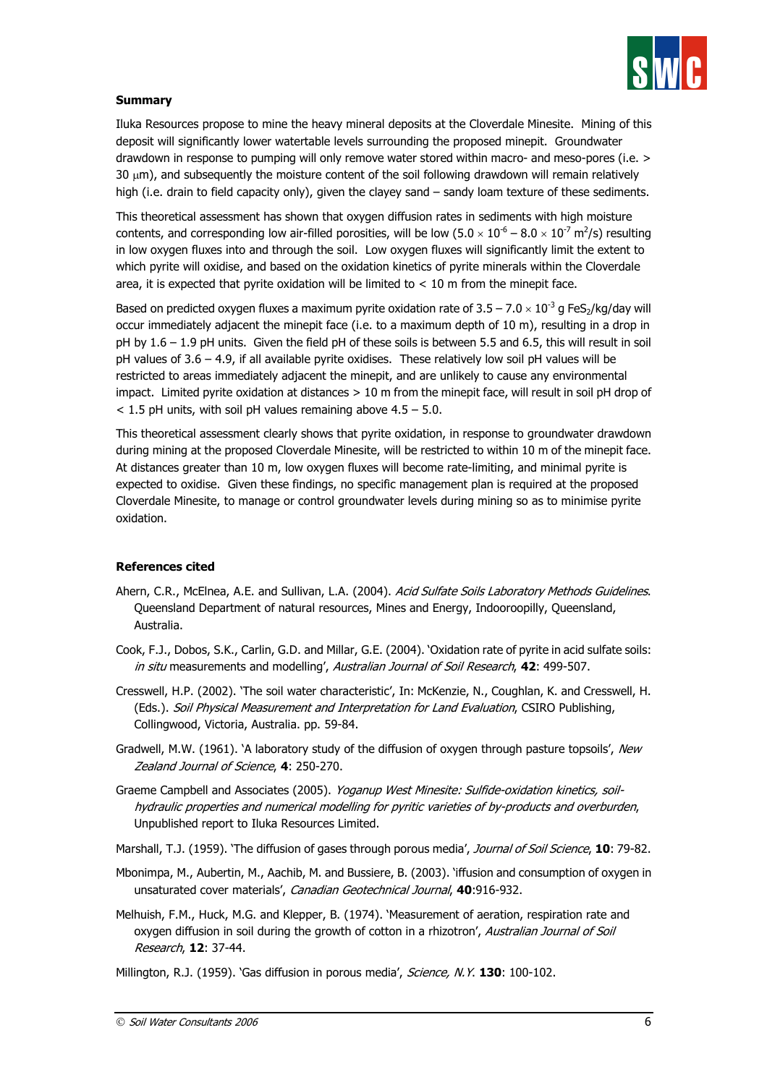

## **Summary**

Iluka Resources propose to mine the heavy mineral deposits at the Cloverdale Minesite. Mining of this deposit will significantly lower watertable levels surrounding the proposed minepit. Groundwater drawdown in response to pumping will only remove water stored within macro- and meso-pores (i.e. >  $30 \mu m$ ), and subsequently the moisture content of the soil following drawdown will remain relatively high (i.e. drain to field capacity only), given the clayey sand – sandy loam texture of these sediments.

This theoretical assessment has shown that oxygen diffusion rates in sediments with high moisture contents, and corresponding low air-filled porosities, will be low (5.0  $\times$  10<sup>-6</sup> – 8.0  $\times$  10<sup>-7</sup> m<sup>2</sup>/s) resulting in low oxygen fluxes into and through the soil. Low oxygen fluxes will significantly limit the extent to which pyrite will oxidise, and based on the oxidation kinetics of pyrite minerals within the Cloverdale area, it is expected that pyrite oxidation will be limited to  $<$  10 m from the minepit face.

Based on predicted oxygen fluxes a maximum pyrite oxidation rate of  $3.5 - 7.0 \times 10^{-3}$  g FeS<sub>2</sub>/kg/day will occur immediately adjacent the minepit face (i.e. to a maximum depth of 10 m), resulting in a drop in pH by 1.6 – 1.9 pH units. Given the field pH of these soils is between 5.5 and 6.5, this will result in soil pH values of 3.6 – 4.9, if all available pyrite oxidises. These relatively low soil pH values will be restricted to areas immediately adjacent the minepit, and are unlikely to cause any environmental impact. Limited pyrite oxidation at distances > 10 m from the minepit face, will result in soil pH drop of  $<$  1.5 pH units, with soil pH values remaining above 4.5 – 5.0.

This theoretical assessment clearly shows that pyrite oxidation, in response to groundwater drawdown during mining at the proposed Cloverdale Minesite, will be restricted to within 10 m of the minepit face. At distances greater than 10 m, low oxygen fluxes will become rate-limiting, and minimal pyrite is expected to oxidise. Given these findings, no specific management plan is required at the proposed Cloverdale Minesite, to manage or control groundwater levels during mining so as to minimise pyrite oxidation.

### **References cited**

- Ahern, C.R., McElnea, A.E. and Sullivan, L.A. (2004). Acid Sulfate Soils Laboratory Methods Guidelines. Queensland Department of natural resources, Mines and Energy, Indooroopilly, Queensland, Australia.
- Cook, F.J., Dobos, S.K., Carlin, G.D. and Millar, G.E. (2004). 'Oxidation rate of pyrite in acid sulfate soils: in situ measurements and modelling', Australian Journal of Soil Research, **42**: 499-507.
- Cresswell, H.P. (2002). 'The soil water characteristic', In: McKenzie, N., Coughlan, K. and Cresswell, H. (Eds.). Soil Physical Measurement and Interpretation for Land Evaluation, CSIRO Publishing, Collingwood, Victoria, Australia. pp. 59-84.
- Gradwell, M.W. (1961). 'A laboratory study of the diffusion of oxygen through pasture topsoils', New Zealand Journal of Science, **4**: 250-270.
- Graeme Campbell and Associates (2005). Yoganup West Minesite: Sulfide-oxidation kinetics, soilhydraulic properties and numerical modelling for pyritic varieties of by-products and overburden, Unpublished report to Iluka Resources Limited.
- Marshall, T.J. (1959). 'The diffusion of gases through porous media', Journal of Soil Science, **10**: 79-82.
- Mbonimpa, M., Aubertin, M., Aachib, M. and Bussiere, B. (2003). 'iffusion and consumption of oxygen in unsaturated cover materials', Canadian Geotechnical Journal, **40**:916-932.
- Melhuish, F.M., Huck, M.G. and Klepper, B. (1974). 'Measurement of aeration, respiration rate and oxygen diffusion in soil during the growth of cotton in a rhizotron', Australian Journal of Soil Research, **12**: 37-44.
- Millington, R.J. (1959). 'Gas diffusion in porous media', Science, N.Y. **130**: 100-102.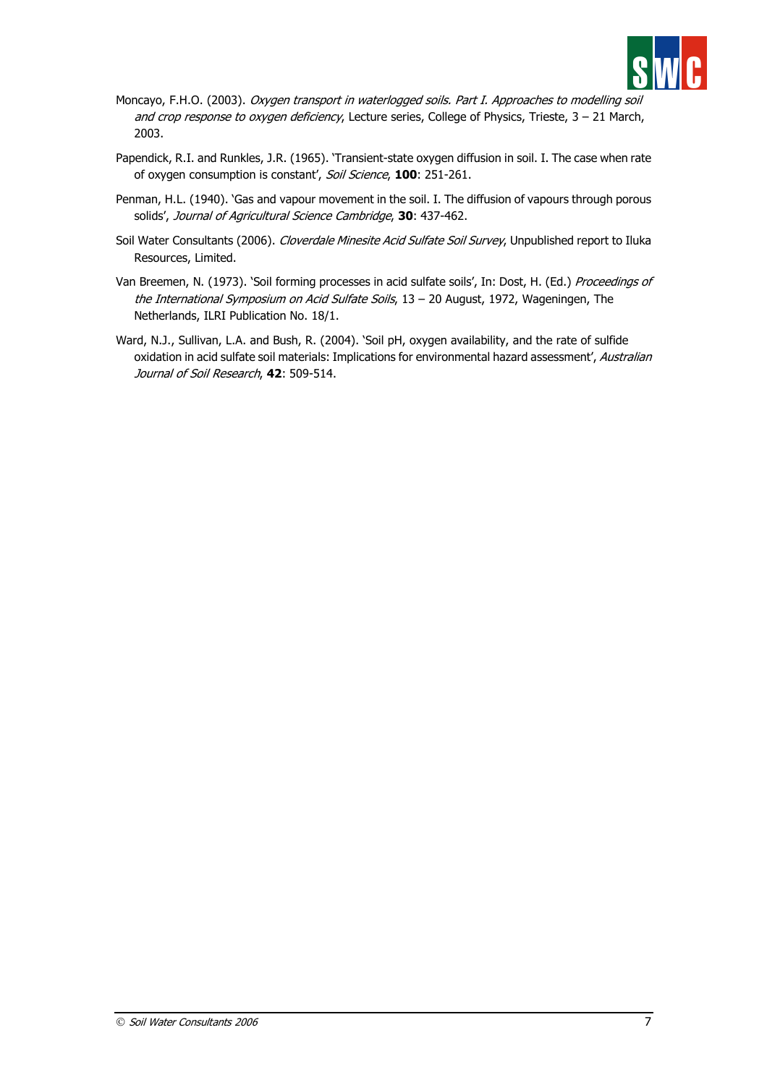

- Moncayo, F.H.O. (2003). Oxygen transport in waterlogged soils. Part I. Approaches to modelling soil and crop response to oxygen deficiency, Lecture series, College of Physics, Trieste, 3 - 21 March, 2003.
- Papendick, R.I. and Runkles, J.R. (1965). 'Transient-state oxygen diffusion in soil. I. The case when rate of oxygen consumption is constant', Soil Science, **100**: 251-261.
- Penman, H.L. (1940). 'Gas and vapour movement in the soil. I. The diffusion of vapours through porous solids', Journal of Agricultural Science Cambridge, **30**: 437-462.
- Soil Water Consultants (2006). Cloverdale Minesite Acid Sulfate Soil Survey, Unpublished report to Iluka Resources, Limited.
- Van Breemen, N. (1973). 'Soil forming processes in acid sulfate soils', In: Dost, H. (Ed.) Proceedings of the International Symposium on Acid Sulfate Soils, 13 - 20 August, 1972, Wageningen, The Netherlands, ILRI Publication No. 18/1.
- Ward, N.J., Sullivan, L.A. and Bush, R. (2004). 'Soil pH, oxygen availability, and the rate of sulfide oxidation in acid sulfate soil materials: Implications for environmental hazard assessment', Australian Journal of Soil Research, **42**: 509-514.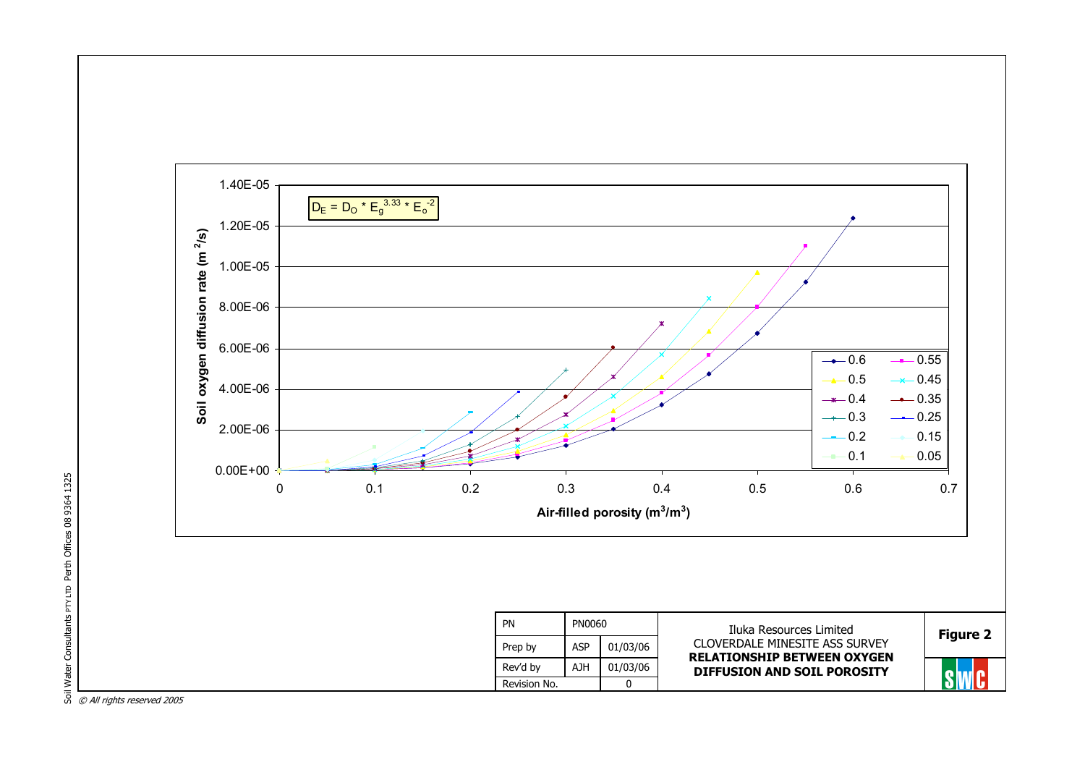

PTY LTD Perth Offices 08 9364 1325